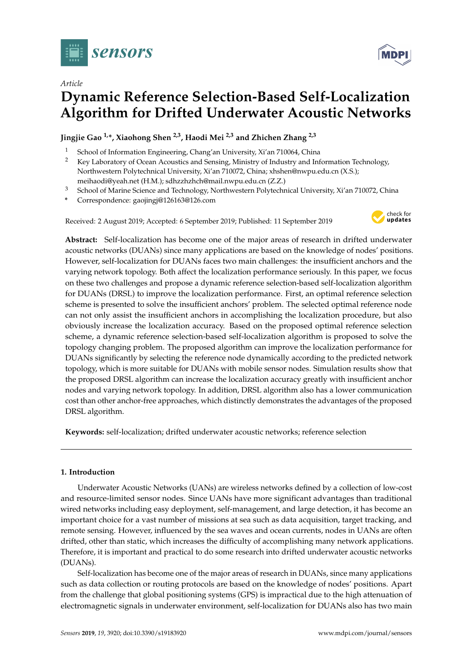



# **Dynamic Reference Selection-Based Self-Localization Algorithm for Drifted Underwater Acoustic Networks**

**Jingjie Gao 1,\*, Xiaohong Shen 2,3, Haodi Mei 2,3 and Zhichen Zhang 2,3**

- <sup>1</sup> School of Information Engineering, Chang'an University, Xi'an 710064, China<br><sup>2</sup> Key Laboratory of Ocean Acoustics and Sensing, Ministry of Industry and Inf
- <sup>2</sup> Key Laboratory of Ocean Acoustics and Sensing, Ministry of Industry and Information Technology, Northwestern Polytechnical University, Xi'an 710072, China; xhshen@nwpu.edu.cn (X.S.); meihaodi@yeah.net (H.M.); sdhzzhzhch@mail.nwpu.edu.cn (Z.Z.)
- <sup>3</sup> School of Marine Science and Technology, Northwestern Polytechnical University, Xi'an 710072, China
- **\*** Correspondence: gaojingj@126163@126.com

Received: 2 August 2019; Accepted: 6 September 2019; Published: 11 September 2019



**Abstract:** Self-localization has become one of the major areas of research in drifted underwater acoustic networks (DUANs) since many applications are based on the knowledge of nodes' positions. However, self-localization for DUANs faces two main challenges: the insufficient anchors and the varying network topology. Both affect the localization performance seriously. In this paper, we focus on these two challenges and propose a dynamic reference selection-based self-localization algorithm for DUANs (DRSL) to improve the localization performance. First, an optimal reference selection scheme is presented to solve the insufficient anchors' problem. The selected optimal reference node can not only assist the insufficient anchors in accomplishing the localization procedure, but also obviously increase the localization accuracy. Based on the proposed optimal reference selection scheme, a dynamic reference selection-based self-localization algorithm is proposed to solve the topology changing problem. The proposed algorithm can improve the localization performance for DUANs significantly by selecting the reference node dynamically according to the predicted network topology, which is more suitable for DUANs with mobile sensor nodes. Simulation results show that the proposed DRSL algorithm can increase the localization accuracy greatly with insufficient anchor nodes and varying network topology. In addition, DRSL algorithm also has a lower communication cost than other anchor-free approaches, which distinctly demonstrates the advantages of the proposed DRSL algorithm.

**Keywords:** self-localization; drifted underwater acoustic networks; reference selection

# **1. Introduction**

Underwater Acoustic Networks (UANs) are wireless networks defined by a collection of low-cost and resource-limited sensor nodes. Since UANs have more significant advantages than traditional wired networks including easy deployment, self-management, and large detection, it has become an important choice for a vast number of missions at sea such as data acquisition, target tracking, and remote sensing. However, influenced by the sea waves and ocean currents, nodes in UANs are often drifted, other than static, which increases the difficulty of accomplishing many network applications. Therefore, it is important and practical to do some research into drifted underwater acoustic networks (DUANs).

Self-localization has become one of the major areas of research in DUANs, since many applications such as data collection or routing protocols are based on the knowledge of nodes' positions. Apart from the challenge that global positioning systems (GPS) is impractical due to the high attenuation of electromagnetic signals in underwater environment, self-localization for DUANs also has two main

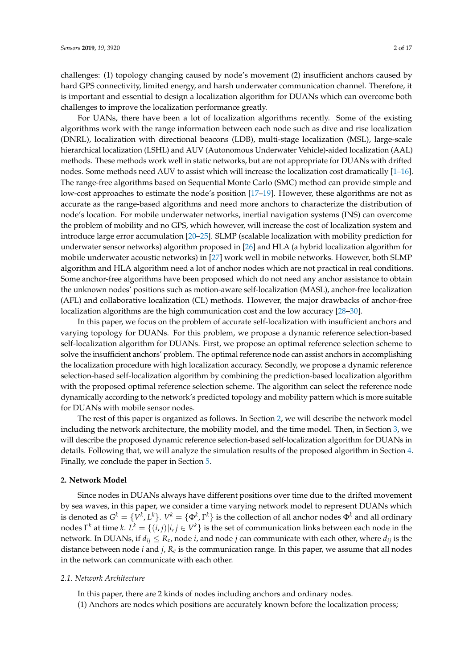challenges: (1) topology changing caused by node's movement (2) insufficient anchors caused by hard GPS connectivity, limited energy, and harsh underwater communication channel. Therefore, it is important and essential to design a localization algorithm for DUANs which can overcome both challenges to improve the localization performance greatly.

For UANs, there have been a lot of localization algorithms recently. Some of the existing algorithms work with the range information between each node such as dive and rise localization (DNRL), localization with directional beacons (LDB), multi-stage localization (MSL), large-scale hierarchical localization (LSHL) and AUV (Autonomous Underwater Vehicle)-aided localization (AAL) methods. These methods work well in static networks, but are not appropriate for DUANs with drifted nodes. Some methods need AUV to assist which will increase the localization cost dramatically [\[1–](#page-15-0)[16\]](#page-15-1). The range-free algorithms based on Sequential Monte Carlo (SMC) method can provide simple and low-cost approaches to estimate the node's position [\[17–](#page-15-2)[19\]](#page-15-3). However, these algorithms are not as accurate as the range-based algorithms and need more anchors to characterize the distribution of node's location. For mobile underwater networks, inertial navigation systems (INS) can overcome the problem of mobility and no GPS, which however, will increase the cost of localization system and introduce large error accumulation [\[20](#page-15-4)[–25\]](#page-16-0). SLMP (scalable localization with mobility prediction for underwater sensor networks) algorithm proposed in [\[26\]](#page-16-1) and HLA (a hybrid localization algorithm for mobile underwater acoustic networks) in [\[27\]](#page-16-2) work well in mobile networks. However, both SLMP algorithm and HLA algorithm need a lot of anchor nodes which are not practical in real conditions. Some anchor-free algorithms have been proposed which do not need any anchor assistance to obtain the unknown nodes' positions such as motion-aware self-localization (MASL), anchor-free localization (AFL) and collaborative localization (CL) methods. However, the major drawbacks of anchor-free localization algorithms are the high communication cost and the low accuracy [\[28–](#page-16-3)[30\]](#page-16-4).

In this paper, we focus on the problem of accurate self-localization with insufficient anchors and varying topology for DUANs. For this problem, we propose a dynamic reference selection-based self-localization algorithm for DUANs. First, we propose an optimal reference selection scheme to solve the insufficient anchors' problem. The optimal reference node can assist anchors in accomplishing the localization procedure with high localization accuracy. Secondly, we propose a dynamic reference selection-based self-localization algorithm by combining the prediction-based localization algorithm with the proposed optimal reference selection scheme. The algorithm can select the reference node dynamically according to the network's predicted topology and mobility pattern which is more suitable for DUANs with mobile sensor nodes.

The rest of this paper is organized as follows. In Section [2,](#page-1-0) we will describe the network model including the network architecture, the mobility model, and the time model. Then, in Section [3,](#page-3-0) we will describe the proposed dynamic reference selection-based self-localization algorithm for DUANs in details. Following that, we will analyze the simulation results of the proposed algorithm in Section [4.](#page-8-0) Finally, we conclude the paper in Section [5.](#page-14-0)

#### <span id="page-1-0"></span>**2. Network Model**

Since nodes in DUANs always have different positions over time due to the drifted movement by sea waves, in this paper, we consider a time varying network model to represent DUANs which is denoted as  $G^k = \{V^k, L^k\}$ .  $V^k = \{\Phi^k, \Gamma^k\}$  is the collection of all anchor nodes  $\Phi^k$  and all ordinary nodes  $\Gamma^k$  at time  $k$ .  $L^k = \{(i,j)|i,j\in V^k\}$  is the set of communication links between each node in the network. In DUANs, if  $d_{ij} \leq R_c$ , node *i*, and node *j* can communicate with each other, where  $d_{ij}$  is the distance between node *i* and *j*, *R<sup>c</sup>* is the communication range. In this paper, we assume that all nodes in the network can communicate with each other.

# *2.1. Network Architecture*

In this paper, there are 2 kinds of nodes including anchors and ordinary nodes.

(1) Anchors are nodes which positions are accurately known before the localization process;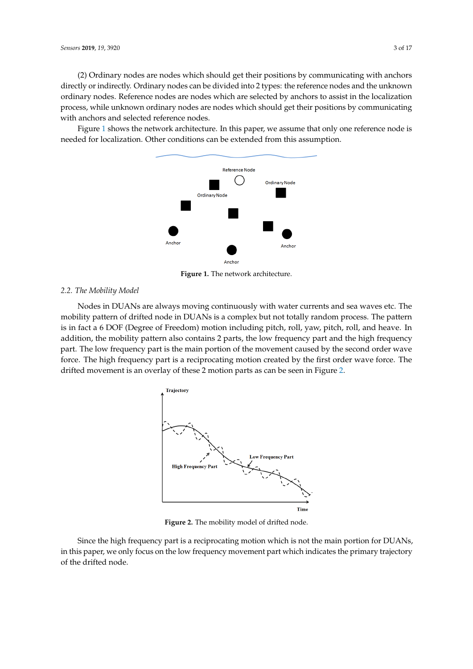(2) Ordinary nodes are nodes which should get their positions by communicating with anchors directly or indirectly. Ordinary nodes can be divided into 2 types: the reference nodes and the unknown ordinary nodes. Reference nodes are nodes which are selected by anchors to assist in the localization process, while unknown ordinary nodes are nodes which should get their positions by communicating with anchors and selected reference nodes.

<span id="page-2-0"></span>Figure [1](#page-2-0) shows the network architecture. In this paper, we assume that only one reference node is needed for localization. Other conditions can be extended from this assumption.



**Figure 1.** The network architecture.

# *2.2. The Mobility Model*

<span id="page-2-1"></span>Nodes in DUANs are always moving continuously with water currents and sea waves etc. The mobility pattern of drifted node in DUANs is a complex but not totally random process. The pattern is in fact a 6 DOF (Degree of Freedom) motion including pitch, roll, yaw, pitch, roll, and heave. In addition, the mobility pattern also contains 2 parts, the low frequency part and the high frequency part. The low frequency part is the main portion of the movement caused by the second order wave force. The high frequency part is a reciprocating motion created by the first order wave force. The drifted movement is an overlay of these 2 motion parts as can be seen in Figure [2.](#page-2-1)



**Figure 2.** The mobility model of drifted node.

Since the high frequency part is a reciprocating motion which is not the main portion for DUANs, in this paper, we only focus on the low frequency movement part which indicates the primary trajectory of the drifted node.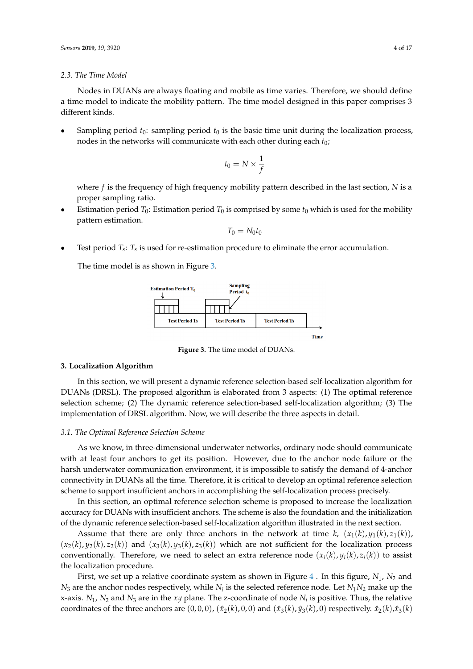#### *2.3. The Time Model*

Nodes in DUANs are always floating and mobile as time varies. Therefore, we should define a time model to indicate the mobility pattern. The time model designed in this paper comprises 3 different kinds.

Sampling period  $t_0$ : sampling period  $t_0$  is the basic time unit during the localization process, nodes in the networks will communicate with each other during each  $t_0$ ;

$$
t_0=N\times\frac{1}{f}
$$

where *f* is the frequency of high frequency mobility pattern described in the last section, *N* is a proper sampling ratio.

Estimation period  $T_0$ : Estimation period  $T_0$  is comprised by some  $t_0$  which is used for the mobility pattern estimation.

$$
T_0=N_0t_0
$$

• Test period *T<sup>s</sup>* : *T<sup>s</sup>* is used for re-estimation procedure to eliminate the error accumulation.

<span id="page-3-1"></span>The time model is as shown in Figure [3.](#page-3-1)



**Figure 3.** The time model of DUANs.

#### <span id="page-3-0"></span>**3. Localization Algorithm**

In this section, we will present a dynamic reference selection-based self-localization algorithm for DUANs (DRSL). The proposed algorithm is elaborated from 3 aspects: (1) The optimal reference selection scheme; (2) The dynamic reference selection-based self-localization algorithm; (3) The implementation of DRSL algorithm. Now, we will describe the three aspects in detail.

#### *3.1. The Optimal Reference Selection Scheme*

As we know, in three-dimensional underwater networks, ordinary node should communicate with at least four anchors to get its position. However, due to the anchor node failure or the harsh underwater communication environment, it is impossible to satisfy the demand of 4-anchor connectivity in DUANs all the time. Therefore, it is critical to develop an optimal reference selection scheme to support insufficient anchors in accomplishing the self-localization process precisely.

In this section, an optimal reference selection scheme is proposed to increase the localization accuracy for DUANs with insufficient anchors. The scheme is also the foundation and the initialization of the dynamic reference selection-based self-localization algorithm illustrated in the next section.

Assume that there are only three anchors in the network at time  $k$ ,  $(x_1(k), y_1(k), z_1(k))$ ,  $(x_2(k), y_2(k), z_2(k))$  and  $(x_3(k), y_3(k), z_3(k))$  which are not sufficient for the localization process conventionally. Therefore, we need to select an extra reference node  $(x_i(k), y_i(k), z_i(k))$  to assist the localization procedure.

First, we set up a relative coordinate system as shown in Figure  $4$ . In this figure,  $N_1$ ,  $N_2$  and  $N_3$  are the anchor nodes respectively, while  $N_i$  is the selected reference node. Let  $N_1N_2$  make up the x-axis. *N*1, *N*<sup>2</sup> and *N*<sup>3</sup> are in the *xy* plane. The z-coordinate of node *N<sup>i</sup>* is positive. Thus, the relative coordinates of the three anchors are  $(0, 0, 0)$ ,  $(\hat{x}_2(k), 0, 0)$  and  $(\hat{x}_3(k), \hat{y}_3(k), 0)$  respectively.  $\hat{x}_2(k), \hat{x}_3(k)$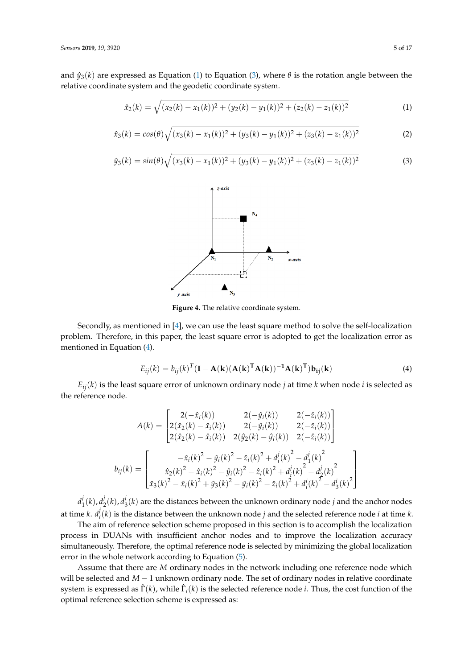and  $\hat{y}_3(k)$  are expressed as Equation [\(1\)](#page-4-1) to Equation [\(3\)](#page-4-2), where  $\theta$  is the rotation angle between the relative coordinate system and the geodetic coordinate system.

<span id="page-4-1"></span>
$$
\hat{x}_2(k) = \sqrt{(x_2(k) - x_1(k))^2 + (y_2(k) - y_1(k))^2 + (z_2(k) - z_1(k))^2}
$$
\n(1)

$$
\hat{x}_3(k) = \cos(\theta)\sqrt{(x_3(k) - x_1(k))^2 + (y_3(k) - y_1(k))^2 + (z_3(k) - z_1(k))^2}
$$
 (2)

<span id="page-4-2"></span><span id="page-4-0"></span>
$$
\hat{y}_3(k) = \sin(\theta) \sqrt{(x_3(k) - x_1(k))^2 + (y_3(k) - y_1(k))^2 + (z_3(k) - z_1(k))^2}
$$
(3)



**Figure 4.** The relative coordinate system.

Secondly, as mentioned in [\[4\]](#page-15-5), we can use the least square method to solve the self-localization problem. Therefore, in this paper, the least square error is adopted to get the localization error as mentioned in Equation [\(4\)](#page-4-3).

<span id="page-4-3"></span>
$$
E_{ij}(k) = b_{ij}(k)^{T} (\mathbf{I} - \mathbf{A}(\mathbf{k})(\mathbf{A}(\mathbf{k})^{T} \mathbf{A}(\mathbf{k}))^{-1} \mathbf{A}(\mathbf{k})^{T}) \mathbf{b}_{ij}(\mathbf{k})
$$
(4)

 $E_{ij}(k)$  is the least square error of unknown ordinary node *j* at time *k* when node *i* is selected as the reference node.

$$
A(k) = \begin{bmatrix} 2(-\hat{x}_i(k)) & 2(-\hat{y}_i(k)) & 2(-\hat{z}_i(k)) \\ 2(\hat{x}_2(k) - \hat{x}_i(k)) & 2(-\hat{y}_i(k)) & 2(-\hat{z}_i(k)) \\ 2(\hat{x}_2(k) - \hat{x}_i(k)) & 2(\hat{y}_2(k) - \hat{y}_i(k)) & 2(-\hat{z}_i(k)) \end{bmatrix}
$$

$$
b_{ij}(k) = \begin{bmatrix} -\hat{x}_i(k)^2 - \hat{y}_i(k)^2 - \hat{z}_i(k)^2 + d_i^j(k)^2 - d_1^j(k)^2 \\ \hat{x}_2(k)^2 - \hat{x}_i(k)^2 - \hat{y}_i(k)^2 - \hat{z}_i(k)^2 + d_i^j(k)^2 - d_2^j(k)^2 \\ \hat{x}_3(k)^2 - \hat{x}_i(k)^2 + \hat{y}_3(k)^2 - \hat{y}_i(k)^2 - \hat{z}_i(k)^2 + d_i^i(k)^2 - d_3^i(k)^2 \end{bmatrix}
$$

 $d_1^j$  $j_1^j(k)$ ,  $d_2^j$  $\frac{j}{2}(k)$ ,  $d^j_3$  $\chi_3^{\prime}(k)$  are the distances between the unknown ordinary node  $j$  and the anchor nodes at time *k*. *d j*  $\mathcal{I}_i^j(k)$  is the distance between the unknown node *j* and the selected reference node *i* at time *k*.

The aim of reference selection scheme proposed in this section is to accomplish the localization process in DUANs with insufficient anchor nodes and to improve the localization accuracy simultaneously. Therefore, the optimal reference node is selected by minimizing the global localization error in the whole network according to Equation [\(5\)](#page-5-0).

Assume that there are *M* ordinary nodes in the network including one reference node which will be selected and *M* − 1 unknown ordinary node. The set of ordinary nodes in relative coordinate system is expressed as  $\hat{\Gamma}(k)$ , while  $\hat{\Gamma}_i(k)$  is the selected reference node *i*. Thus, the cost function of the optimal reference selection scheme is expressed as: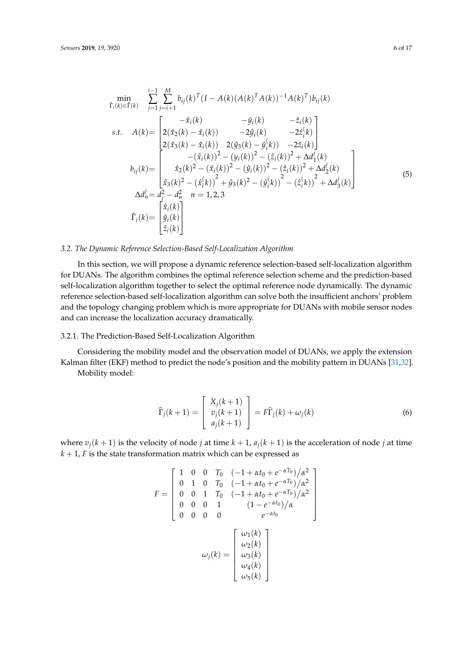<span id="page-5-0"></span>
$$
\min_{\hat{\Gamma}_{i}(k)\in\hat{\Gamma}(k)} \sum_{j=1}^{i-1} \sum_{j=i+1}^{M} b_{ij}(k)^{T} (I - A(k)(A(k)^{T}A(k))^{-1}A(k)^{T}) b_{ij}(k)
$$
\n
$$
s.t. \quad A(k) = \begin{bmatrix}\n-\hat{x}_{i}(k) & -\hat{y}_{i}(k) & -\hat{z}_{i}(k) \\
2(\hat{x}_{2}(k) - \hat{x}_{i}(k)) & -2\hat{y}_{i}(k) & -2\hat{z}_{i}(k) \\
2(\hat{x}_{3}(k) - \hat{x}_{i}(k)) & 2(\hat{y}_{3}(k) - \hat{y}_{i}^{(k)}) & -2\hat{z}_{i}(k)\n\end{bmatrix}
$$
\n
$$
b_{ij}(k) = \begin{bmatrix}\n-\hat{x}_{i}(k) & 2(\hat{y}_{3}(k) - \hat{y}_{i}^{(k)}) & -2\hat{z}_{i}(k) \\
-(\hat{x}_{i}(k))^{2} - (\hat{y}_{i}(k))^{2} - (\hat{z}_{i}(k))^{2} + \Delta d_{1}^{j}(k) \\
\hat{x}_{3}(k)^{2} - (\hat{x}_{i}^{(k)})^{2} + \hat{y}_{3}(k)^{2} - (\hat{y}_{i}^{(k)})^{2} - (\hat{z}_{i}^{(k)})^{2} + \Delta d_{3}^{j}(k)\n\end{bmatrix}
$$
\n
$$
\Delta d_{n}^{j} = d_{i}^{2} - d_{n}^{2} \quad n = 1, 2, 3
$$
\n
$$
\hat{\Gamma}_{i}(k) = \begin{bmatrix}\n\hat{x}_{i}(k) \\
\hat{y}_{i}(k) \\
\hat{z}_{i}(k)\n\end{bmatrix}
$$
\n(5)

## *3.2. The Dynamic Reference Selection-Based Self-Localization Algorithm*

In this section, we will propose a dynamic reference selection-based self-localization algorithm for DUANs. The algorithm combines the optimal reference selection scheme and the prediction-based self-localization algorithm together to select the optimal reference node dynamically. The dynamic reference selection-based self-localization algorithm can solve both the insufficient anchors' problem and the topology changing problem which is more appropriate for DUANs with mobile sensor nodes and can increase the localization accuracy dramatically.

#### 3.2.1. The Prediction-Based Self-Localization Algorithm

Considering the mobility model and the observation model of DUANs, we apply the extension Kalman filter (EKF) method to predict the node's position and the mobility pattern in DUANs [\[31](#page-16-5)[,32\]](#page-16-6).

Mobility model:

$$
\widehat{\Gamma}_j(k+1) = \begin{bmatrix} X_j(k+1) \\ v_j(k+1) \\ a_j(k+1) \end{bmatrix} = F\widehat{\Gamma}_j(k) + \omega_j(k)
$$
\n(6)

where  $v_i(k+1)$  is the velocity of node *j* at time  $k+1$ ,  $a_i(k+1)$  is the acceleration of node *j* at time  $k + 1$ , *F* is the state transformation matrix which can be expressed as

$$
F = \begin{bmatrix} 1 & 0 & 0 & T_0 & (-1 + \alpha t_0 + e^{-\alpha T_0})/\alpha^2 \\ 0 & 1 & 0 & T_0 & (-1 + \alpha t_0 + e^{-\alpha T_0})/\alpha^2 \\ 0 & 0 & 1 & T_0 & (-1 + \alpha t_0 + e^{-\alpha T_0})/\alpha^2 \\ 0 & 0 & 0 & 1 & (1 - e^{-\alpha t_0})/\alpha \\ 0 & 0 & 0 & 0 & e^{-\alpha t_0} \end{bmatrix}
$$

$$
\omega_j(k) = \begin{bmatrix} \omega_1(k) \\ \omega_2(k) \\ \omega_3(k) \\ \omega_4(k) \\ \omega_5(k) \end{bmatrix}
$$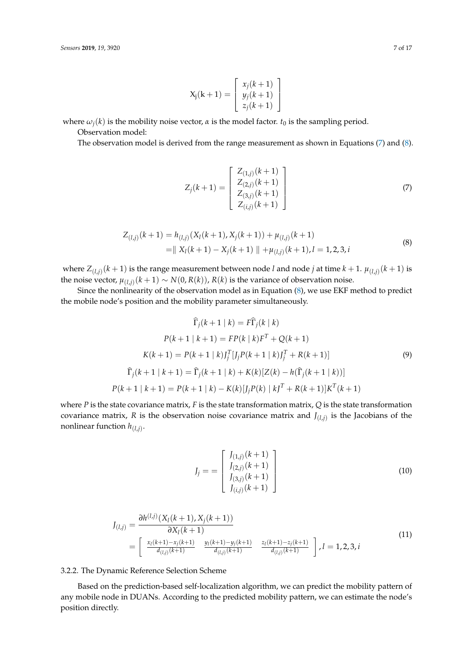$$
X_j(k+1) = \begin{bmatrix} x_j(k+1) \\ y_j(k+1) \\ z_j(k+1) \end{bmatrix}
$$

where  $\omega_i(k)$  is the mobility noise vector,  $\alpha$  is the model factor.  $t_0$  is the sampling period.

Observation model:

<span id="page-6-0"></span>The observation model is derived from the range measurement as shown in Equations [\(7\)](#page-6-0) and [\(8\)](#page-6-1).

$$
Z_j(k+1) = \begin{bmatrix} Z_{(1,j)}(k+1) \\ Z_{(2,j)}(k+1) \\ Z_{(3,j)}(k+1) \\ Z_{(i,j)}(k+1) \end{bmatrix}
$$
 (7)

$$
Z_{(l,j)}(k+1) = h_{(l,j)}(X_l(k+1), X_j(k+1)) + \mu_{(l,j)}(k+1)
$$
  
=  $|| X_l(k+1) - X_j(k+1) || + \mu_{(l,j)}(k+1), l = 1, 2, 3, i$  (8)

<span id="page-6-1"></span>where  $Z_{(l,j)}(k+1)$  is the range measurement between node *l* and node *j* at time  $k+1$ .  $\mu_{(l,j)}(k+1)$  is the noise vector,  $\mu_{(l,j)}(k+1) \sim N(0, R(k))$ ,  $R(k)$  is the variance of observation noise.

Since the nonlinearity of the observation model as in Equation [\(8\)](#page-6-1), we use EKF method to predict the mobile node's position and the mobility parameter simultaneously.

<span id="page-6-2"></span>
$$
\widehat{\Gamma}_j(k+1 | k) = F\widehat{\Gamma}_j(k | k)
$$
  
\n
$$
P(k+1 | k+1) = FP(k | k)F^T + Q(k+1)
$$
  
\n
$$
K(k+1) = P(k+1 | k)J_j^T[J_jP(k+1 | k)J_j^T + R(k+1)]
$$
  
\n
$$
\widehat{\Gamma}_j(k+1 | k+1) = \widehat{\Gamma}_j(k+1 | k) + K(k)[Z(k) - h(\widehat{\Gamma}_j(k+1 | k))]
$$
  
\n
$$
P(k+1 | k+1) = P(k+1 | k) - K(k)[J_jP(k) | kJ^T + R(k+1)]K^T(k+1)
$$

where *P* is the state covariance matrix, *F* is the state transformation matrix, *Q* is the state transformation covariance matrix, *R* is the observation noise covariance matrix and *J* (*l*,*j*) is the Jacobians of the nonlinear function *h*(*l*,*j*) .

$$
J_j = \begin{bmatrix} J_{(1,j)}(k+1) \\ J_{(2,j)}(k+1) \\ J_{(3,j)}(k+1) \\ J_{(i,j)}(k+1) \end{bmatrix}
$$
 (10)

$$
J_{(l,j)} = \frac{\partial h^{(l,j)}(X_l(k+1), X_j(k+1))}{\partial X_l(k+1)}
$$
  
= 
$$
\begin{bmatrix} \frac{x_l(k+1) - x_j(k+1)}{d_{(l,j)}(k+1)} & \frac{y_l(k+1) - y_j(k+1)}{d_{(l,j)}(k+1)} & \frac{z_l(k+1) - z_j(k+1)}{d_{(l,j)}(k+1)} \end{bmatrix}, l = 1, 2, 3, i
$$
 (11)

3.2.2. The Dynamic Reference Selection Scheme

Based on the prediction-based self-localization algorithm, we can predict the mobility pattern of any mobile node in DUANs. According to the predicted mobility pattern, we can estimate the node's position directly.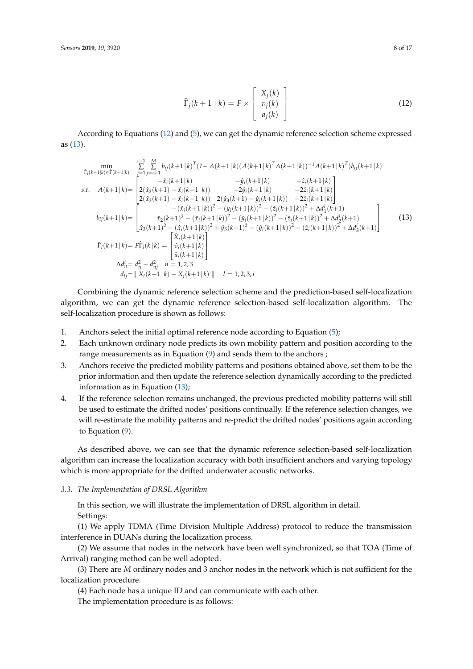$$
\widehat{\Gamma}_j(k+1 \mid k) = F \times \begin{bmatrix} X_j(k) \\ v_j(k) \\ a_j(k) \end{bmatrix}
$$
\n(12)

<span id="page-7-0"></span>According to Equations [\(12\)](#page-7-0) and [\(5\)](#page-5-0), we can get the dynamic reference selection scheme expressed as [\(13\)](#page-7-1).

<span id="page-7-1"></span>
$$
\min_{\begin{subarray}{l} \mathbf{f}_{i}(k+1|k) \in \mathbf{f}(k+1|k)} & \sum_{j=1}^{i-1} \sum_{j=i+1}^{M} b_{ij}(k+1|k)^{T} (I - A(k+1|k)(A(k+1|k)^{T}A(k+1|k))^{-1}A(k+1|k)^{T}) b_{ij}(k+1|k) \\ \text{s.t.} & A(k+1|k) = \begin{bmatrix} -\hat{x}_{i}(k+1|k) & -\hat{y}_{i}(k+1|k) & -\hat{z}_{i}(k+1|k) \\ 2(\hat{x}_{2}(k+1) - \hat{x}_{i}(k+1|k)) & -2\hat{y}_{i}(k+1|k) & -2\hat{z}_{i}(k+1|k) \\ 2(\hat{x}_{3}(k+1) - \hat{x}_{i}(k+1|k)) & 2(\hat{y}_{3}(k+1) - \hat{y}_{i}(k+1|k)) & -2\hat{z}_{i}(k+1|k) \end{bmatrix} \\ b_{ij}(k+1|k) = \begin{bmatrix} -(\hat{x}_{i}(k+1|k))^{2} - (y_{i}(k+1|k))^{2} - (z_{i}(k+1|k))^{2} + \Delta d_{1}^{i}(k+1) \\ \hat{x}_{2}(k+1)^{2} - (\hat{x}_{i}(k+1|k))^{2} - (\hat{y}_{i}(k+1|k))^{2} - (\hat{z}_{i}(k+1|k))^{2} + \Delta d_{2}^{j}(k+1) \\ \hat{x}_{3}(k+1)^{2} - (\hat{x}_{i}(k+1|k))^{2} + \hat{y}_{3}(k+1)^{2} - (\hat{y}_{i}(k+1|k))^{2} - (\hat{z}_{i}(k+1|k))^{2} + \Delta d_{3}^{i}(k+1) \end{bmatrix} \\ \hat{\Gamma}_{i}(k+1|k) = F\hat{\Gamma}_{i}(k|k) = \begin{bmatrix} \hat{X}_{i}(k+1|k) \\ \hat{y}_{i}(k+1|k) \\ \hat{a}_{i}(k+1|k) \\ \hat{a}_{i}(k+1|k) \end{bmatrix} \\ \Delta d_{n} = d_{ij}^{2} - d_{nj}^{2} & n = 1, 2, 3 \\ d_{ij} = ||X_{i}(k+1|k) - X_{j}(k+1|k)|| || & l
$$

Combining the dynamic reference selection scheme and the prediction-based self-localization algorithm, we can get the dynamic reference selection-based self-localization algorithm. The self-localization procedure is shown as follows:

- 1. Anchors select the initial optimal reference node according to Equation [\(5\)](#page-5-0);
- 2. Each unknown ordinary node predicts its own mobility pattern and position according to the range measurements as in Equation [\(9\)](#page-6-2) and sends them to the anchors ;
- 3. Anchors receive the predicted mobility patterns and positions obtained above, set them to be the prior information and then update the reference selection dynamically according to the predicted information as in Equation [\(13\)](#page-7-1);
- 4. If the reference selection remains unchanged, the previous predicted mobility patterns will still be used to estimate the drifted nodes' positions continually. If the reference selection changes, we will re-estimate the mobility patterns and re-predict the drifted nodes' positions again according to Equation [\(9\)](#page-6-2).

As described above, we can see that the dynamic reference selection-based self-localization algorithm can increase the localization accuracy with both insufficient anchors and varying topology which is more appropriate for the drifted underwater acoustic networks.

#### *3.3. The Implementation of DRSL Algorithm*

In this section, we will illustrate the implementation of DRSL algorithm in detail. Settings:

(1) We apply TDMA (Time Division Multiple Address) protocol to reduce the transmission interference in DUANs during the localization process.

(2) We assume that nodes in the network have been well synchronized, so that TOA (Time of Arrival) ranging method can be well adopted.

(3) There are *M* ordinary nodes and 3 anchor nodes in the network which is not sufficient for the localization procedure.

(4) Each node has a unique ID and can communicate with each other.

The implementation procedure is as follows: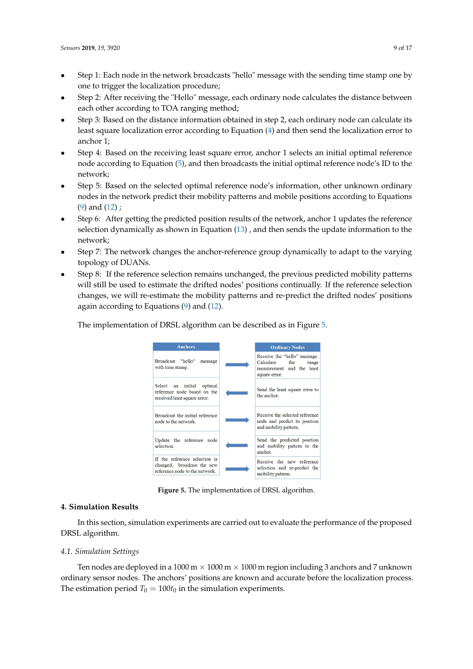- Step 1: Each node in the network broadcasts "hello" message with the sending time stamp one by one to trigger the localization procedure;
- Step 2: After receiving the "Hello" message, each ordinary node calculates the distance between each other according to TOA ranging method;
- Step 3: Based on the distance information obtained in step 2, each ordinary node can calculate its least square localization error according to Equation [\(4\)](#page-4-3) and then send the localization error to anchor 1;
- Step 4: Based on the receiving least square error, anchor 1 selects an initial optimal reference node according to Equation [\(5\)](#page-5-0), and then broadcasts the initial optimal reference node's ID to the network;
- Step 5: Based on the selected optimal reference node's information, other unknown ordinary nodes in the network predict their mobility patterns and mobile positions according to Equations [\(9\)](#page-6-2) and [\(12\)](#page-7-0) ;
- Step 6: After getting the predicted position results of the network, anchor 1 updates the reference selection dynamically as shown in Equation [\(13\)](#page-7-1) , and then sends the update information to the network;
- Step 7: The network changes the anchor-reference group dynamically to adapt to the varying topology of DUANs.
- Step 8: If the reference selection remains unchanged, the previous predicted mobility patterns will still be used to estimate the drifted nodes' positions continually. If the reference selection changes, we will re-estimate the mobility patterns and re-predict the drifted nodes' positions again according to Equations [\(9\)](#page-6-2) and [\(12\)](#page-7-0).

<span id="page-8-1"></span>The implementation of DRSL algorithm can be described as in Figure [5.](#page-8-1)



**Figure 5.** The implementation of DRSL algorithm.

# <span id="page-8-0"></span>**4. Simulation Results**

In this section, simulation experiments are carried out to evaluate the performance of the proposed DRSL algorithm.

#### *4.1. Simulation Settings*

Ten nodes are deployed in a 1000 m  $\times$  1000 m  $\times$  1000 m region including 3 anchors and 7 unknown ordinary sensor nodes. The anchors' positions are known and accurate before the localization process. The estimation period  $T_0 = 100t_0$  in the simulation experiments.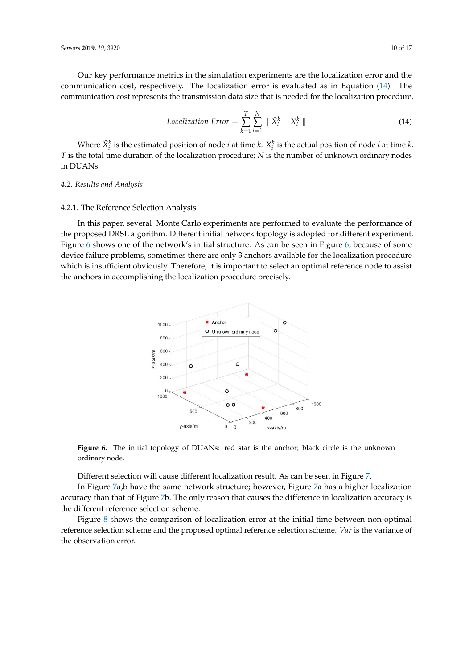Our key performance metrics in the simulation experiments are the localization error and the communication cost, respectively. The localization error is evaluated as in Equation [\(14\)](#page-9-0). The communication cost represents the transmission data size that is needed for the localization procedure.

<span id="page-9-0"></span>
$$
Localization Error = \sum_{k=1}^{T} \sum_{i=1}^{N} ||\hat{X}_{i}^{k} - X_{i}^{k}|| \qquad (14)
$$

Where  $\hat{X}_i^k$  is the estimated position of node *i* at time *k*.  $X_i^k$  is the actual position of node *i* at time *k*. *T* is the total time duration of the localization procedure; *N* is the number of unknown ordinary nodes in DUANs.

#### *4.2. Results and Analysis*

#### 4.2.1. The Reference Selection Analysis

<span id="page-9-1"></span>In this paper, several Monte Carlo experiments are performed to evaluate the performance of the proposed DRSL algorithm. Different initial network topology is adopted for different experiment. Figure [6](#page-9-1) shows one of the network's initial structure. As can be seen in Figure [6,](#page-9-1) because of some device failure problems, sometimes there are only 3 anchors available for the localization procedure which is insufficient obviously. Therefore, it is important to select an optimal reference node to assist the anchors in accomplishing the localization procedure precisely.



Figure 6. The initial topology of DUANs: red star is the anchor; black circle is the unknown ordinary node.

Different selection will cause different localization result. As can be seen in Figure [7.](#page-10-0)

In Figure [7a](#page-10-0),b have the same network structure; however, Figure [7a](#page-10-0) has a higher localization accuracy than that of Figure [7b](#page-10-0). The only reason that causes the difference in localization accuracy is the different reference selection scheme.

Figure [8](#page-10-1) shows the comparison of localization error at the initial time between non-optimal reference selection scheme and the proposed optimal reference selection scheme. *Var* is the variance of the observation error.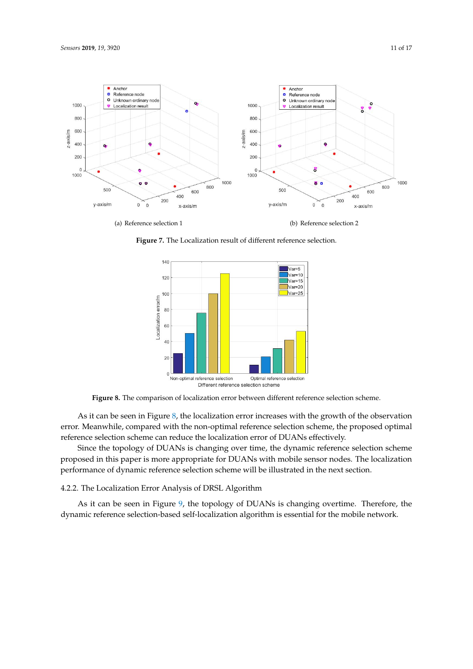<span id="page-10-0"></span>

<span id="page-10-1"></span>**Figure 7.** The Localization result of different reference selection.



**Figure 8.** The comparison of localization error between different reference selection scheme.

As it can be seen in Figure [8,](#page-10-1) the localization error increases with the growth of the observation error. Meanwhile, compared with the non-optimal reference selection scheme, the proposed optimal reference selection scheme can reduce the localization error of DUANs effectively.

Since the topology of DUANs is changing over time, the dynamic reference selection scheme proposed in this paper is more appropriate for DUANs with mobile sensor nodes. The localization performance of dynamic reference selection scheme will be illustrated in the next section.

#### 4.2.2. The Localization Error Analysis of DRSL Algorithm

As it can be seen in Figure [9,](#page-11-0) the topology of DUANs is changing overtime. Therefore, the dynamic reference selection-based self-localization algorithm is essential for the mobile network.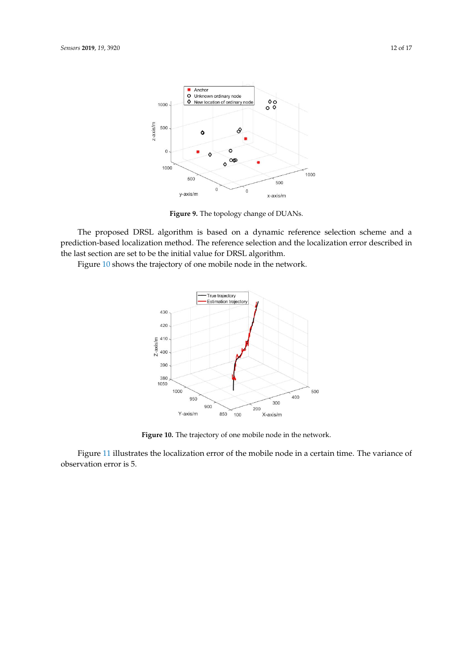<span id="page-11-0"></span>

**Figure 9.** The topology change of DUANs.

The proposed DRSL algorithm is based on a dynamic reference selection scheme and a prediction-based localization method. The reference selection and the localization error described in the last section are set to be the initial value for DRSL algorithm.

<span id="page-11-1"></span>Figure [10](#page-11-1) shows the trajectory of one mobile node in the network.



**Figure 10.** The trajectory of one mobile node in the network.

Figure [11](#page-12-0) illustrates the localization error of the mobile node in a certain time. The variance of observation error is 5.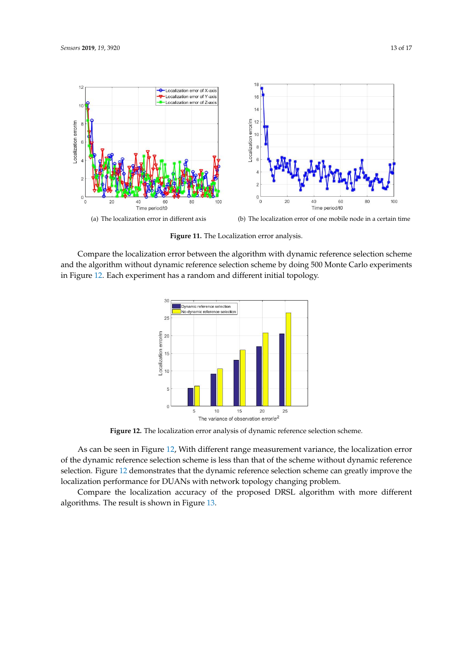<span id="page-12-0"></span>

**Figure 11.** The Localization error analysis.

<span id="page-12-1"></span>Compare the localization error between the algorithm with dynamic reference selection scheme and the algorithm without dynamic reference selection scheme by doing 500 Monte Carlo experiments in Figure [12.](#page-12-1) Each experiment has a random and different initial topology.



**Figure 12.** The localization error analysis of dynamic reference selection scheme.

As can be seen in Figure [12,](#page-12-1) With different range measurement variance, the localization error of the dynamic reference selection scheme is less than that of the scheme without dynamic reference selection. Figure [12](#page-12-1) demonstrates that the dynamic reference selection scheme can greatly improve the localization performance for DUANs with network topology changing problem.

Compare the localization accuracy of the proposed DRSL algorithm with more different algorithms. The result is shown in Figure [13.](#page-13-0)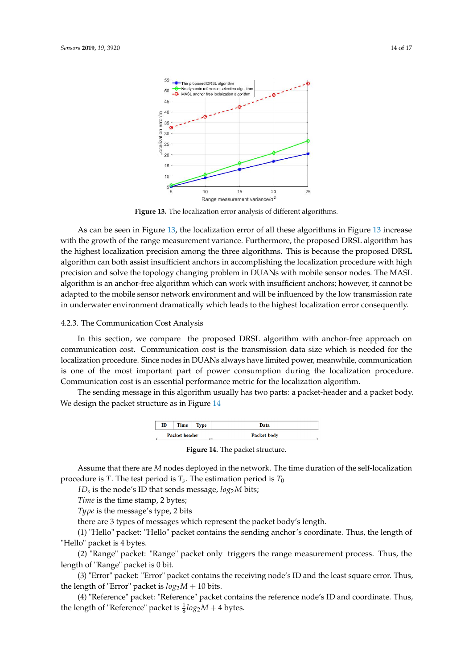55

<span id="page-13-0"></span>50  $45$  $\Delta$ C error/m 35

Localization  $3<sup>0</sup>$ 25  $\overline{20}$ 15  $10$ 



Range measurement variance/o<sup>2</sup> **Figure 13.** The localization error analysis of different algorithms.

15

 $20$ 

25

 $10$ 

As can be seen in Figure [13,](#page-13-0) the localization error of all these algorithms in Figure [13](#page-13-0) increase with the growth of the range measurement variance. Furthermore, the proposed DRSL algorithm has the highest localization precision among the three algorithms. This is because the proposed DRSL algorithm can both assist insufficient anchors in accomplishing the localization procedure with high precision and solve the topology changing problem in DUANs with mobile sensor nodes. The MASL algorithm is an anchor-free algorithm which can work with insufficient anchors; however, it cannot be adapted to the mobile sensor network environment and will be influenced by the low transmission rate in underwater environment dramatically which leads to the highest localization error consequently.

# 4.2.3. The Communication Cost Analysis

In this section, we compare the proposed DRSL algorithm with anchor-free approach on communication cost. Communication cost is the transmission data size which is needed for the localization procedure. Since nodes in DUANs always have limited power, meanwhile, communication is one of the most important part of power consumption during the localization procedure. Communication cost is an essential performance metric for the localization algorithm.

<span id="page-13-1"></span>The sending message in this algorithm usually has two parts: a packet-header and a packet body. We design the packet structure as in Figure [14](#page-13-1)

| ID            | Time | " vpe | Data        |
|---------------|------|-------|-------------|
| Packet-header |      |       | Packet-body |

**Figure 14.** The packet structure.

Assume that there are *M* nodes deployed in the network. The time duration of the self-localization procedure is  $T.$  The test period is  $T_s.$  The estimation period is  $T_0$ 

*ID<sup>s</sup>* is the node's ID that sends message, *log*2*M* bits;

*Time* is the time stamp, 2 bytes;

*Type* is the message's type, 2 bits

there are 3 types of messages which represent the packet body's length.

(1) "Hello" packet: "Hello" packet contains the sending anchor's coordinate. Thus, the length of "Hello" packet is 4 bytes.

(2) "Range" packet: "Range" packet only triggers the range measurement process. Thus, the length of "Range" packet is 0 bit.

(3) "Error" packet: "Error" packet contains the receiving node's ID and the least square error. Thus, the length of "Error" packet is  $log_2 M + 10$  bits.

(4) "Reference" packet: "Reference" packet contains the reference node's ID and coordinate. Thus, the length of "Reference" packet is  $\frac{1}{8}log_2 M + 4$  bytes.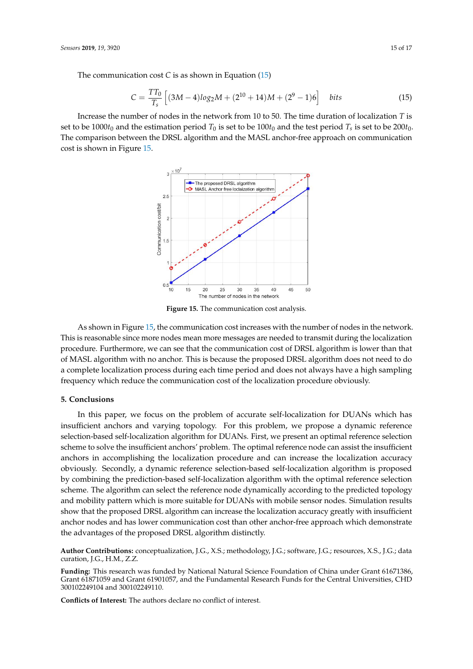The communication cost *C* is as shown in Equation [\(15\)](#page-14-1)

<span id="page-14-1"></span>
$$
C = \frac{TT_0}{T_s} \left[ (3M - 4)log_2 M + (2^{10} + 14)M + (2^9 - 1)6 \right] \quad \text{bits} \tag{15}
$$

<span id="page-14-2"></span>Increase the number of nodes in the network from 10 to 50. The time duration of localization *T* is set to be  $1000t_0$  and the estimation period  $T_0$  is set to be  $100t_0$  and the test period  $T_s$  is set to be  $200t_0$ . The comparison between the DRSL algorithm and the MASL anchor-free approach on communication cost is shown in Figure [15.](#page-14-2)



**Figure 15.** The communication cost analysis.

As shown in Figure [15,](#page-14-2) the communication cost increases with the number of nodes in the network. This is reasonable since more nodes mean more messages are needed to transmit during the localization procedure. Furthermore, we can see that the communication cost of DRSL algorithm is lower than that of MASL algorithm with no anchor. This is because the proposed DRSL algorithm does not need to do a complete localization process during each time period and does not always have a high sampling frequency which reduce the communication cost of the localization procedure obviously.

# <span id="page-14-0"></span>**5. Conclusions**

In this paper, we focus on the problem of accurate self-localization for DUANs which has insufficient anchors and varying topology. For this problem, we propose a dynamic reference selection-based self-localization algorithm for DUANs. First, we present an optimal reference selection scheme to solve the insufficient anchors' problem. The optimal reference node can assist the insufficient anchors in accomplishing the localization procedure and can increase the localization accuracy obviously. Secondly, a dynamic reference selection-based self-localization algorithm is proposed by combining the prediction-based self-localization algorithm with the optimal reference selection scheme. The algorithm can select the reference node dynamically according to the predicted topology and mobility pattern which is more suitable for DUANs with mobile sensor nodes. Simulation results show that the proposed DRSL algorithm can increase the localization accuracy greatly with insufficient anchor nodes and has lower communication cost than other anchor-free approach which demonstrate the advantages of the proposed DRSL algorithm distinctly.

**Author Contributions:** conceptualization, J.G., X.S.; methodology, J.G.; software, J.G.; resources, X.S., J.G.; data curation, J.G., H.M., Z.Z.

**Funding:** This research was funded by National Natural Science Foundation of China under Grant 61671386, Grant 61871059 and Grant 61901057, and the Fundamental Research Funds for the Central Universities, CHD 300102249104 and 300102249110.

**Conflicts of Interest:** The authors declare no conflict of interest.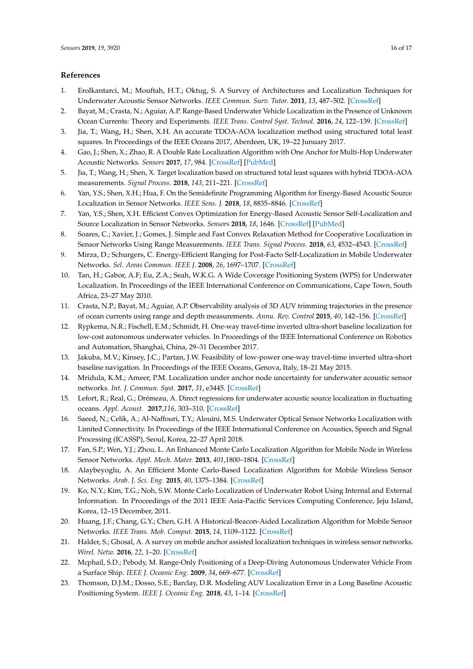#### **References**

- <span id="page-15-0"></span>1. Erolkantarci, M.; Mouftah, H.T.; Oktug, S. A Survey of Architectures and Localization Techniques for Underwater Acoustic Sensor Networks. *IEEE Commun. Surv. Tutor.* **2011**, *13*, 487–502. [\[CrossRef\]](http://dx.doi.org/10.1109/SURV.2011.020211.00035)
- 2. Bayat, M.; Crasta, N.; Aguiar, A.P. Range-Based Underwater Vehicle Localization in the Presence of Unknown Ocean Currents: Theory and Experiments. *IEEE Trans. Control Syst. Technol.* **2016**, *24*, 122–139. [\[CrossRef\]](http://dx.doi.org/10.1109/TCST.2015.2420636)
- 3. Jia, T.; Wang, H.; Shen, X.H. An accurate TDOA-AOA localization method using structured total least squares. In Proceedings of the IEEE Oceans 2017, Aberdeen, UK, 19–22 Junuary 2017.
- <span id="page-15-5"></span>4. Gao, J.; Shen, X.; Zhao, R. A Double Rate Localization Algorithm with One Anchor for Multi-Hop Underwater Acoustic Networks. *Sensors* **2017**, *17*, 984. [\[CrossRef\]](http://dx.doi.org/10.3390/s17050984) [\[PubMed\]](http://www.ncbi.nlm.nih.gov/pubmed/28452942)
- 5. Jia, T.; Wang, H.; Shen, X. Target localization based on structured total least squares with hybrid TDOA-AOA measurements. *Signal Process.* **2018**, *143*, 211–221. [\[CrossRef\]](http://dx.doi.org/10.1016/j.sigpro.2017.09.011)
- 6. Yan, Y.S.; Shen, X.H.; Hua, F. On the Semidefinite Programming Algorithm for Energy-Based Acoustic Source Localization in Sensor Networks. *IEEE Sens. J.* **2018**, *18*, 8835–8846. [\[CrossRef\]](http://dx.doi.org/10.1109/JSEN.2018.2869000)
- 7. Yan, Y.S.; Shen, X.H. Efficient Convex Optimization for Energy-Based Acoustic Sensor Self-Localization and Source Localization in Sensor Networks. *Sensors* **2018**, *18*, 1646. [\[CrossRef\]](http://dx.doi.org/10.3390/s18051646) [\[PubMed\]](http://www.ncbi.nlm.nih.gov/pubmed/29883410)
- 8. Soares, C.; Xavier, J.; Gomes, J. Simple and Fast Convex Relaxation Method for Cooperative Localization in Sensor Networks Using Range Measurements. *IEEE Trans. Signal Process.* **2018**, *63*, 4532–4543. [\[CrossRef\]](http://dx.doi.org/10.1109/TSP.2015.2454853)
- 9. Mirza, D.; Schurgers, C. Energy-Efficient Ranging for Post-Facto Self-Localization in Mobile Underwater Networks. *Sel. Areas Commun. IEEE J.* **2008**, *26*, 1697–1707. [\[CrossRef\]](http://dx.doi.org/10.1109/JSAC.2008.081209)
- 10. Tan, H.; Gabor, A.F; Eu, Z.A.; Seah, W.K.G. A Wide Coverage Positioning System (WPS) for Underwater Localization. In Proceedings of the IEEE International Conference on Communications, Cape Town, South Africa, 23–27 May 2010.
- 11. Crasta, N.P.; Bayat, M.; Aguiar, A.P. Observability analysis of 3D AUV trimming trajectories in the presence of ocean currents using range and depth measurements. *Annu. Rev. Control* **2015**, *40*, 142–156. [\[CrossRef\]](http://dx.doi.org/10.1016/j.arcontrol.2015.09.009)
- 12. Rypkema, N.R.; Fischell, E.M.; Schmidt, H. One-way travel-time inverted ultra-short baseline localization for low-cost autonomous underwater vehicles. In Proceedings of the IEEE International Conference on Robotics and Automation, Shanghai, China, 29–31 December 2017.
- 13. Jakuba, M.V.; Kinsey, J.C.; Partan, J.W. Feasibility of low-power one-way travel-time inverted ultra-short baseline navigation. In Proceedings of the IEEE Oceans, Genova, Italy, 18–21 May 2015.
- 14. Mridula, K.M.; Ameer, P.M. Localization under anchor node uncertainty for underwater acoustic sensor networks. *Int. J. Commun. Syst.* **2017**, *31*, e3445. [\[CrossRef\]](http://dx.doi.org/10.1002/dac.3445)
- 15. Lefort, R.; Real, G.; Drémeau, A. Direct regressions for underwater acoustic source localization in fluctuating oceans. *Appl. Acoust.* **2017**,*116*, 303–310. [\[CrossRef\]](http://dx.doi.org/10.1016/j.apacoust.2016.10.005)
- <span id="page-15-1"></span>16. Saeed, N.; Celik, A.; Al-Naffouri, T.Y.; Alouini, M.S. Underwater Optical Sensor Networks Localization with Limited Connectivity. In Proceedings of the IEEE International Conference on Acoustics, Speech and Signal Processing (ICASSP), Seoul, Korea, 22–27 April 2018.
- <span id="page-15-2"></span>17. Fan, S.P.; Wen, Y.J.; Zhou, L. An Enhanced Monte Carlo Localization Algorithm for Mobile Node in Wireless Sensor Networks. *Appl. Mech. Mater.* **2013**, *401*,1800–1804. [\[CrossRef\]](http://dx.doi.org/10.4028/www.scientific.net/AMM.401-403.1800)
- 18. Alaybeyoglu, A. An Efficient Monte Carlo-Based Localization Algorithm for Mobile Wireless Sensor Networks. *Arab. J. Sci. Eng.* **2015**, *40*, 1375–1384. [\[CrossRef\]](http://dx.doi.org/10.1007/s13369-015-1614-0)
- <span id="page-15-3"></span>19. Ko, N.Y.; Kim, T.G.; Noh, S.W. Monte Carlo Localization of Underwater Robot Using Internal and External Information. In Proceedings of the 2011 IEEE Asia-Pacific Services Computing Conference, Jeju Island, Korea, 12–15 December, 2011.
- <span id="page-15-4"></span>20. Huang, J.F.; Chang, G.Y.; Chen, G.H. A Historical-Beacon-Aided Localization Algorithm for Mobile Sensor Networks. *IEEE Trans. Mob. Comput.* **2015**, *14*, 1109–1122. [\[CrossRef\]](http://dx.doi.org/10.1109/TMC.2014.2346777)
- 21. Halder, S.; Ghosal, A. A survey on mobile anchor assisted localization techniques in wireless sensor networks. *Wirel. Netw.* **2016**, *22*, 1–20. [\[CrossRef\]](http://dx.doi.org/10.1007/s11276-015-1101-2)
- 22. Mcphail, S.D.; Pebody, M. Range-Only Positioning of a Deep-Diving Autonomous Underwater Vehicle From a Surface Ship. *IEEE J. Oceanic Eng.* **2009**, *34*, 669–677. [\[CrossRef\]](http://dx.doi.org/10.1109/JOE.2009.2030223)
- 23. Thomson, D.J.M.; Dosso, S.E.; Barclay, D.R. Modeling AUV Localization Error in a Long Baseline Acoustic Positioning System. *IEEE J. Oceanic Eng.* **2018**, *43*, 1–14. [\[CrossRef\]](http://dx.doi.org/10.1109/JOE.2017.2771898)